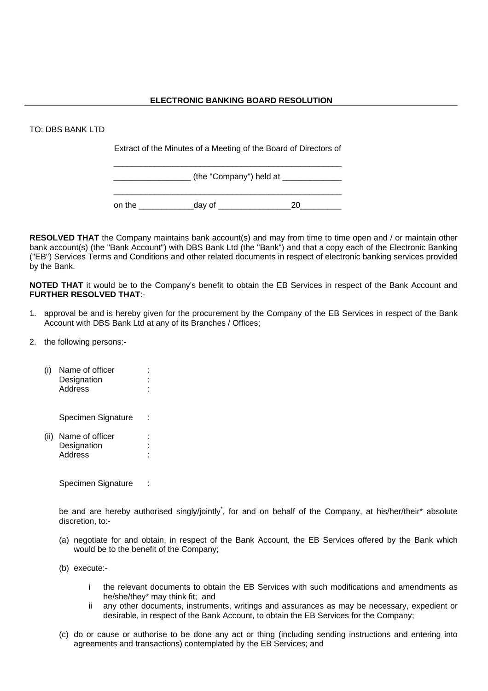## TO: DBS BANK LTD

Extract of the Minutes of a Meeting of the Board of Directors of \_\_\_\_\_\_\_\_\_\_\_\_\_\_\_\_\_\_\_\_\_\_\_\_\_\_\_\_\_\_\_\_\_\_\_\_\_\_\_\_\_\_\_\_\_\_\_\_\_\_

|        | (the "Company") held at |  |
|--------|-------------------------|--|
|        |                         |  |
| on the | day of                  |  |

**RESOLVED THAT** the Company maintains bank account(s) and may from time to time open and / or maintain other bank account(s) (the "Bank Account") with DBS Bank Ltd (the "Bank") and that a copy each of the Electronic Banking ("EB") Services Terms and Conditions and other related documents in respect of electronic banking services provided by the Bank.

**NOTED THAT** it would be to the Company's benefit to obtain the EB Services in respect of the Bank Account and **FURTHER RESOLVED THAT**:-

- 1. approval be and is hereby given for the procurement by the Company of the EB Services in respect of the Bank Account with DBS Bank Ltd at any of its Branches / Offices;
- 2. the following persons:-
	- (i) Name of officer : Designation : Address :

Specimen Signature :

(ii) Name of officer : Designation : Address :

Specimen Signature :

be and are hereby authorised singly/jointly<sup>\*</sup>, for and on behalf of the Company, at his/her/their\* absolute discretion, to:-

- (a) negotiate for and obtain, in respect of the Bank Account, the EB Services offered by the Bank which would be to the benefit of the Company;
- (b) execute:
	- i the relevant documents to obtain the EB Services with such modifications and amendments as he/she/they\* may think fit; and
	- ii any other documents, instruments, writings and assurances as may be necessary, expedient or desirable, in respect of the Bank Account, to obtain the EB Services for the Company;
- (c) do or cause or authorise to be done any act or thing (including sending instructions and entering into agreements and transactions) contemplated by the EB Services; and